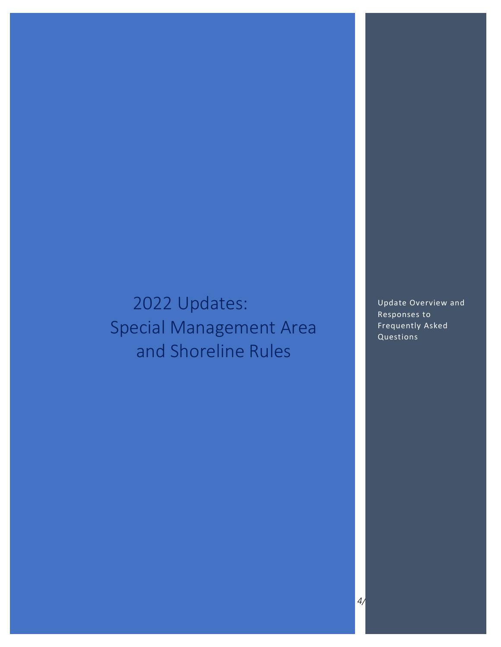# 2022 Updates: Special Management Area and Shoreline Rules

Update Overview and Responses to Frequently Asked Questions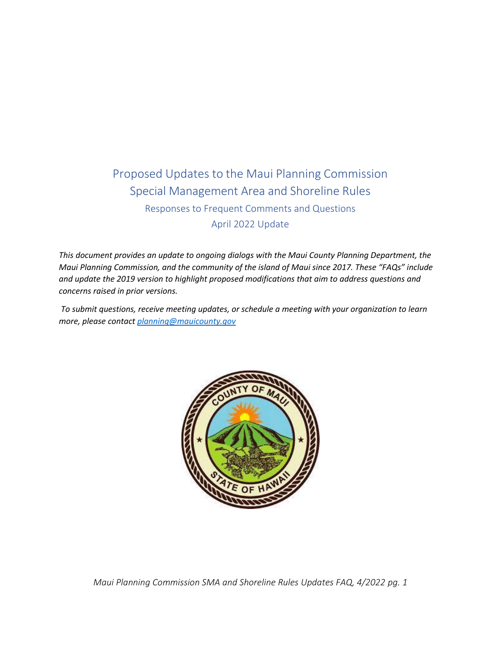## Proposed Updates to the Maui Planning Commission Special Management Area and Shoreline Rules Responses to Frequent Comments and Questions April 2022 Update

*This document provides an update to ongoing dialogs with the Maui County Planning Department, the Maui Planning Commission, and the community of the island of Maui since 2017. These "FAQs" include and update the 2019 version to highlight proposed modifications that aim to address questions and concerns raised in prior versions.* 

*To submit questions, receive meeting updates, or schedule a meeting with your organization to learn more, please contac[t planning@mauicounty.gov](mailto:planning@mauicounty.gov)*

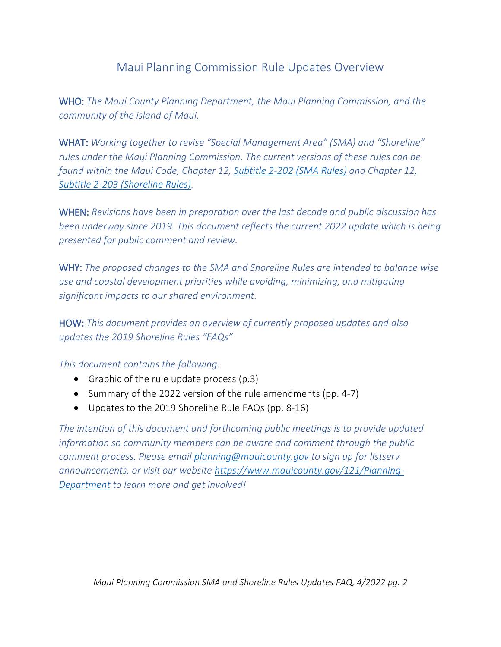## Maui Planning Commission Rule Updates Overview

WHO: *The Maui County Planning Department, the Maui Planning Commission, and the community of the island of Maui.*

WHAT: *Working together to revise "Special Management Area" (SMA) and "Shoreline" rules under the Maui Planning Commission. The current versions of these rules can be found within the Maui Code, Chapter 12, [Subtitle 2-202 \(SMA](https://www.mauicounty.gov/DocumentView.aspx?DID=8413) Rules) and Chapter 12, Subtitle [2-203 \(Shoreline](https://www.mauicounty.gov/DocumentView.aspx?DID=8412) Rules).* 

WHEN: *Revisions have been in preparation over the last decade and public discussion has been underway since 2019. This document reflects the current 2022 update which is being presented for public comment and review.*

WHY: *The proposed changes to the SMA and Shoreline Rules are intended to balance wise use and coastal development priorities while avoiding, minimizing, and mitigating significant impacts to our shared environment.*

HOW: *This document provides an overview of currently proposed updates and also updates the 2019 Shoreline Rules "FAQs"*

*This document contains the following:*

- Graphic of the rule update process (p.3)
- Summary of the 2022 version of the rule amendments (pp. 4-7)
- Updates to the 2019 Shoreline Rule FAQs (pp. 8-16)

*The intention of this document and forthcoming public meetings is to provide updated information so community members can be aware and comment through the public comment process. Please email [planning@mauicounty.gov](mailto:planning@mauicounty.gov) to sign up for listserv announcements, or visit our website [https://www.mauicounty.gov/121/Planning-](https://www.mauicounty.gov/121/Planning-Department)[Department](https://www.mauicounty.gov/121/Planning-Department) to learn more and get involved!*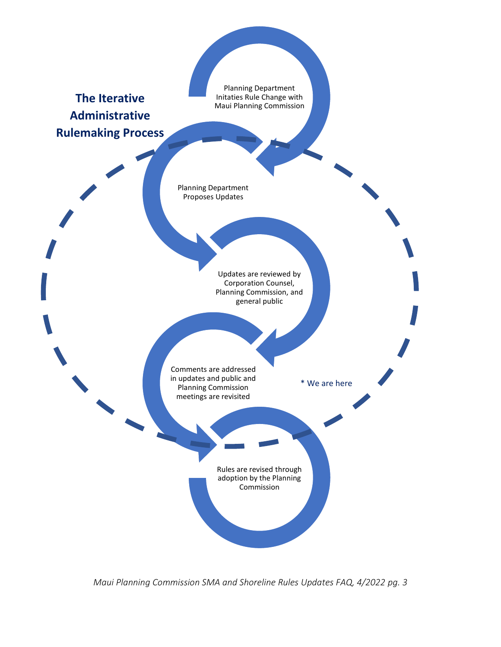

*Maui Planning Commission SMA and Shoreline Rules Updates FAQ, 4/2022 pg. 3*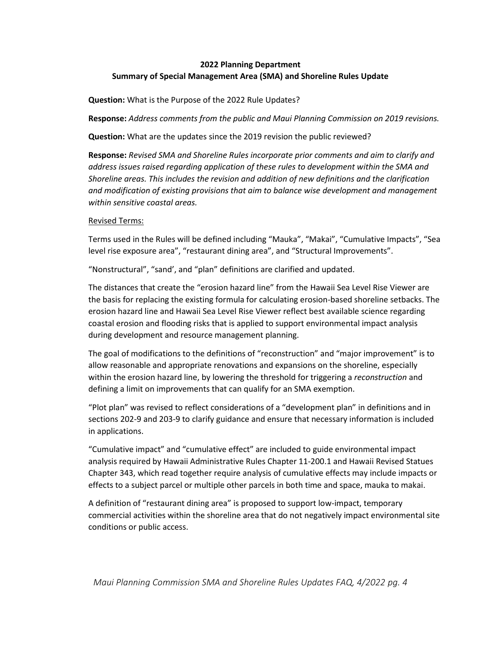## **2022 Planning Department Summary of Special Management Area (SMA) and Shoreline Rules Update**

**Question:** What is the Purpose of the 2022 Rule Updates?

**Response:** *Address comments from the public and Maui Planning Commission on 2019 revisions.* 

**Question:** What are the updates since the 2019 revision the public reviewed?

**Response:** *Revised SMA and Shoreline Rules incorporate prior comments and aim to clarify and address issues raised regarding application of these rules to development within the SMA and Shoreline areas. This includes the revision and addition of new definitions and the clarification and modification of existing provisions that aim to balance wise development and management within sensitive coastal areas.*

## Revised Terms:

Terms used in the Rules will be defined including "Mauka", "Makai", "Cumulative Impacts", "Sea level rise exposure area", "restaurant dining area", and "Structural Improvements".

"Nonstructural", "sand', and "plan" definitions are clarified and updated.

The distances that create the "erosion hazard line" from the Hawaii Sea Level Rise Viewer are the basis for replacing the existing formula for calculating erosion-based shoreline setbacks. The erosion hazard line and Hawaii Sea Level Rise Viewer reflect best available science regarding coastal erosion and flooding risks that is applied to support environmental impact analysis during development and resource management planning.

The goal of modifications to the definitions of "reconstruction" and "major improvement" is to allow reasonable and appropriate renovations and expansions on the shoreline, especially within the erosion hazard line, by lowering the threshold for triggering a *reconstruction* and defining a limit on improvements that can qualify for an SMA exemption.

"Plot plan" was revised to reflect considerations of a "development plan" in definitions and in sections 202-9 and 203-9 to clarify guidance and ensure that necessary information is included in applications.

"Cumulative impact" and "cumulative effect" are included to guide environmental impact analysis required by Hawaii Administrative Rules Chapter 11-200.1 and Hawaii Revised Statues Chapter 343, which read together require analysis of cumulative effects may include impacts or effects to a subject parcel or multiple other parcels in both time and space, mauka to makai.

A definition of "restaurant dining area" is proposed to support low-impact, temporary commercial activities within the shoreline area that do not negatively impact environmental site conditions or public access.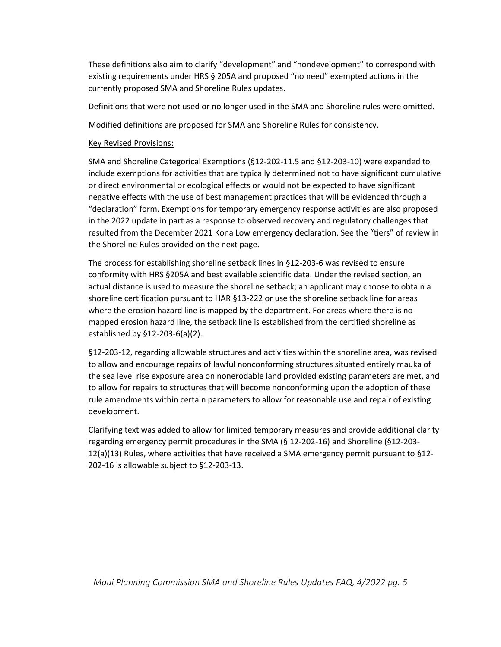These definitions also aim to clarify "development" and "nondevelopment" to correspond with existing requirements under HRS § 205A and proposed "no need" exempted actions in the currently proposed SMA and Shoreline Rules updates.

Definitions that were not used or no longer used in the SMA and Shoreline rules were omitted.

Modified definitions are proposed for SMA and Shoreline Rules for consistency.

## Key Revised Provisions:

SMA and Shoreline Categorical Exemptions (§12-202-11.5 and §12-203-10) were expanded to include exemptions for activities that are typically determined not to have significant cumulative or direct environmental or ecological effects or would not be expected to have significant negative effects with the use of best management practices that will be evidenced through a "declaration" form. Exemptions for temporary emergency response activities are also proposed in the 2022 update in part as a response to observed recovery and regulatory challenges that resulted from the December 2021 Kona Low emergency declaration. See the "tiers" of review in the Shoreline Rules provided on the next page.

The process for establishing shoreline setback lines in §12-203-6 was revised to ensure conformity with HRS §205A and best available scientific data. Under the revised section, an actual distance is used to measure the shoreline setback; an applicant may choose to obtain a shoreline certification pursuant to HAR §13-222 or use the shoreline setback line for areas where the erosion hazard line is mapped by the department. For areas where there is no mapped erosion hazard line, the setback line is established from the certified shoreline as established by §12-203-6(a)(2).

§12-203-12, regarding allowable structures and activities within the shoreline area, was revised to allow and encourage repairs of lawful nonconforming structures situated entirely mauka of the sea level rise exposure area on nonerodable land provided existing parameters are met, and to allow for repairs to structures that will become nonconforming upon the adoption of these rule amendments within certain parameters to allow for reasonable use and repair of existing development.

Clarifying text was added to allow for limited temporary measures and provide additional clarity regarding emergency permit procedures in the SMA (§ 12-202-16) and Shoreline (§12-203- 12(a)(13) Rules, where activities that have received a SMA emergency permit pursuant to §12- 202-16 is allowable subject to §12-203-13.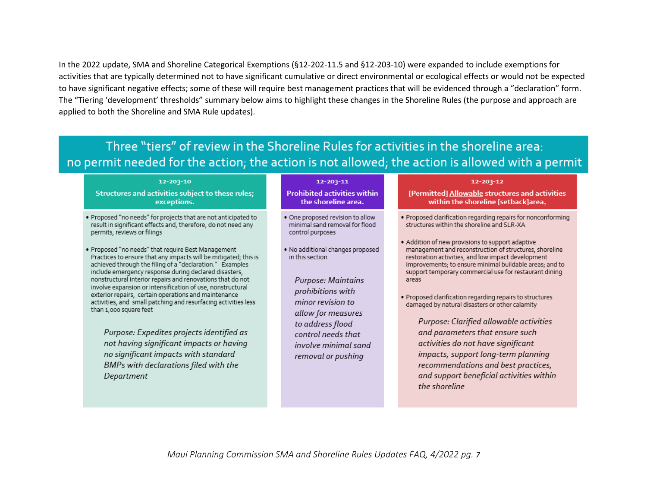In the 2022 update, SMA and Shoreline Categorical Exemptions (§12-202-11.5 and §12-203-10) were expanded to include exemptions for activities that are typically determined not to have significant cumulative or direct environmental or ecological effects or would not be expected to have significant negative effects; some of these will require best management practices that will be evidenced through a "declaration" form. The "Tiering 'development' thresholds" summary below aims to highlight these changes in the Shoreline Rules (the purpose and approach are applied to both the Shoreline and SMA Rule updates).

## Three "tiers" of review in the Shoreline Rules for activities in the shoreline area: no permit needed for the action; the action is not allowed; the action is allowed with a permit

#### 12-203-10

Structures and activities subject to these rules; exceptions.

- . Proposed "no needs" for projects that are not anticipated to result in significant effects and, therefore, do not need any permits, reviews or filings
- . Proposed "no needs" that require Best Management Practices to ensure that any impacts will be mitigated; this is achieved through the filing of a "declaration." Examples include emergency response during declared disasters, nonstructural interior repairs and renovations that do not involve expansion or intensification of use, nonstructural exterior repairs, certain operations and maintenance activities, and small patching and resurfacing activities less than 1,000 square feet

Purpose: Expedites projects identified as not having significant impacts or having no significant impacts with standard BMPs with declarations filed with the Department

#### 12-203-11

#### **Prohibited activities within** the shoreline area.

- . One proposed revision to allow minimal sand removal for flood control purposes
- · No additional changes proposed in this section

Purpose: Maintains prohibitions with minor revision to allow for measures to address flood control needs that involve minimal sand removal or pushing

#### 12-203-12

[Permitted] Allowable structures and activities within the shoreline [setback]area.

- . Proposed clarification regarding repairs for nonconforming structures within the shoreline and SLR-XA
- . Addition of new provisions to support adaptive management and reconstruction of structures, shoreline restoration activities, and low impact development improvements; to ensure minimal buildable areas; and to support temporary commercial use for restaurant dining areas
- · Proposed clarification regarding repairs to structures damaged by natural disasters or other calamity

Purpose: Clarified allowable activities and parameters that ensure such activities do not have significant impacts, support long-term planning recommendations and best practices, and support beneficial activities within the shoreline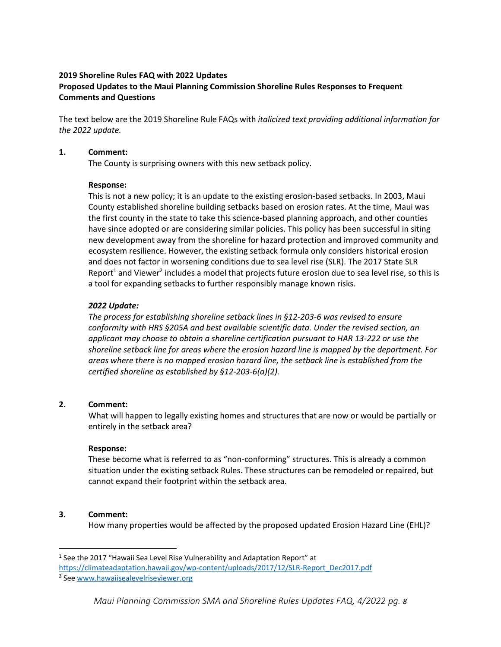## **2019 Shoreline Rules FAQ with 2022 Updates Proposed Updates to the Maui Planning Commission Shoreline Rules Responses to Frequent Comments and Questions**

The text below are the 2019 Shoreline Rule FAQs with *italicized text providing additional information for the 2022 update.*

## **1. Comment:**

The County is surprising owners with this new setback policy.

## **Response:**

This is not a new policy; it is an update to the existing erosion-based setbacks. In 2003, Maui County established shoreline building setbacks based on erosion rates. At the time, Maui was the first county in the state to take this science-based planning approach, and other counties have since adopted or are considering similar policies. This policy has been successful in siting new development away from the shoreline for hazard protection and improved community and ecosystem resilience. However, the existing setback formula only considers historical erosion and does not factor in worsening conditions due to sea level rise (SLR). The 2017 State SLR Report<sup>1</sup> and Viewer<sup>2</sup> includes a model that projects future erosion due to sea level rise, so this is a tool for expanding setbacks to further responsibly manage known risks.

## *2022 Update:*

*The process for establishing shoreline setback lines in §12-203-6 was revised to ensure conformity with HRS §205A and best available scientific data. Under the revised section, an applicant may choose to obtain a shoreline certification pursuant to HAR 13-222 or use the shoreline setback line for areas where the erosion hazard line is mapped by the department. For areas where there is no mapped erosion hazard line, the setback line is established from the certified shoreline as established by §12-203-6(a)(2).*

## **2. Comment:**

What will happen to legally existing homes and structures that are now or would be partially or entirely in the setback area?

## **Response:**

These become what is referred to as "non-conforming" structures. This is already a common situation under the existing setback Rules. These structures can be remodeled or repaired, but cannot expand their footprint within the setback area.

## **3. Comment:**

 $\overline{a}$ 

How many properties would be affected by the proposed updated Erosion Hazard Line (EHL)?

<sup>&</sup>lt;sup>1</sup> See the 2017 "Hawaii Sea Level Rise Vulnerability and Adaptation Report" at

[https://climateadaptation.hawaii.gov/wp-content/uploads/2017/12/SLR-Report\\_Dec2017.pdf](https://climateadaptation.hawaii.gov/wp-content/uploads/2017/12/SLR-Report_Dec2017.pdf)

<sup>&</sup>lt;sup>2</sup> See [www.hawaiisealevelriseviewer.org](http://www.hawaiisealevelriseviewer.org/)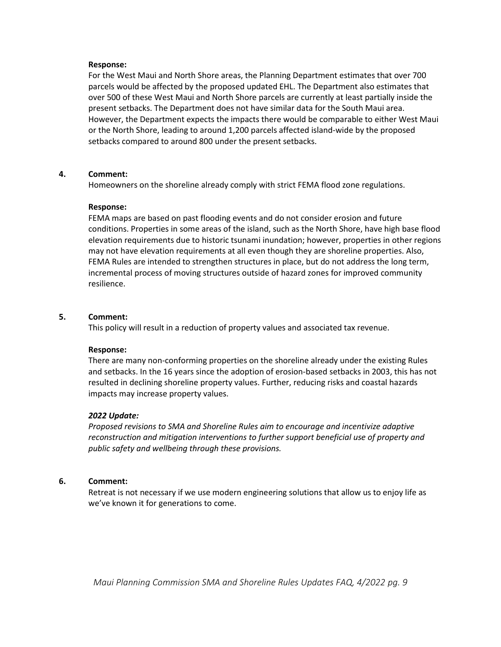## **Response:**

For the West Maui and North Shore areas, the Planning Department estimates that over 700 parcels would be affected by the proposed updated EHL. The Department also estimates that over 500 of these West Maui and North Shore parcels are currently at least partially inside the present setbacks. The Department does not have similar data for the South Maui area. However, the Department expects the impacts there would be comparable to either West Maui or the North Shore, leading to around 1,200 parcels affected island-wide by the proposed setbacks compared to around 800 under the present setbacks.

## **4. Comment:**

Homeowners on the shoreline already comply with strict FEMA flood zone regulations.

## **Response:**

FEMA maps are based on past flooding events and do not consider erosion and future conditions. Properties in some areas of the island, such as the North Shore, have high base flood elevation requirements due to historic tsunami inundation; however, properties in other regions may not have elevation requirements at all even though they are shoreline properties. Also, FEMA Rules are intended to strengthen structures in place, but do not address the long term, incremental process of moving structures outside of hazard zones for improved community resilience.

## **5. Comment:**

This policy will result in a reduction of property values and associated tax revenue.

## **Response:**

There are many non-conforming properties on the shoreline already under the existing Rules and setbacks. In the 16 years since the adoption of erosion-based setbacks in 2003, this has not resulted in declining shoreline property values. Further, reducing risks and coastal hazards impacts may increase property values.

## *2022 Update:*

*Proposed revisions to SMA and Shoreline Rules aim to encourage and incentivize adaptive reconstruction and mitigation interventions to further support beneficial use of property and public safety and wellbeing through these provisions.* 

## **6. Comment:**

Retreat is not necessary if we use modern engineering solutions that allow us to enjoy life as we've known it for generations to come.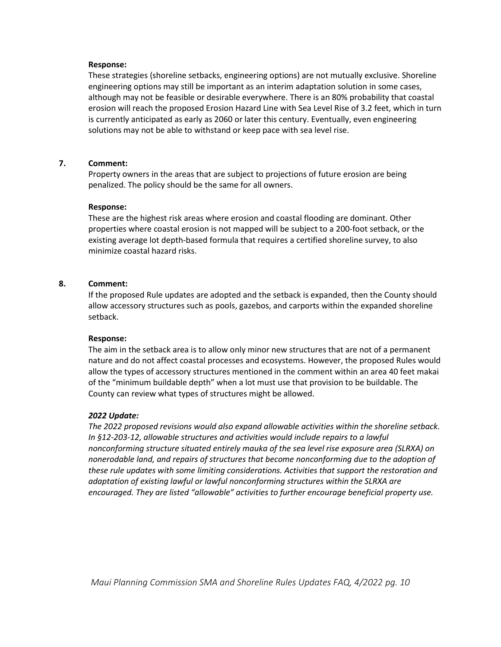## **Response:**

These strategies (shoreline setbacks, engineering options) are not mutually exclusive. Shoreline engineering options may still be important as an interim adaptation solution in some cases, although may not be feasible or desirable everywhere. There is an 80% probability that coastal erosion will reach the proposed Erosion Hazard Line with Sea Level Rise of 3.2 feet, which in turn is currently anticipated as early as 2060 or later this century. Eventually, even engineering solutions may not be able to withstand or keep pace with sea level rise.

## **7. Comment:**

Property owners in the areas that are subject to projections of future erosion are being penalized. The policy should be the same for all owners.

#### **Response:**

These are the highest risk areas where erosion and coastal flooding are dominant. Other properties where coastal erosion is not mapped will be subject to a 200-foot setback, or the existing average lot depth-based formula that requires a certified shoreline survey, to also minimize coastal hazard risks.

## **8. Comment:**

If the proposed Rule updates are adopted and the setback is expanded, then the County should allow accessory structures such as pools, gazebos, and carports within the expanded shoreline setback.

#### **Response:**

The aim in the setback area is to allow only minor new structures that are not of a permanent nature and do not affect coastal processes and ecosystems. However, the proposed Rules would allow the types of accessory structures mentioned in the comment within an area 40 feet makai of the "minimum buildable depth" when a lot must use that provision to be buildable. The County can review what types of structures might be allowed.

## *2022 Update:*

*The 2022 proposed revisions would also expand allowable activities within the shoreline setback. In §12-203-12, allowable structures and activities would include repairs to a lawful nonconforming structure situated entirely mauka of the sea level rise exposure area (SLRXA) on nonerodable land, and repairs of structures that become nonconforming due to the adoption of these rule updates with some limiting considerations. Activities that support the restoration and adaptation of existing lawful or lawful nonconforming structures within the SLRXA are encouraged. They are listed "allowable" activities to further encourage beneficial property use.*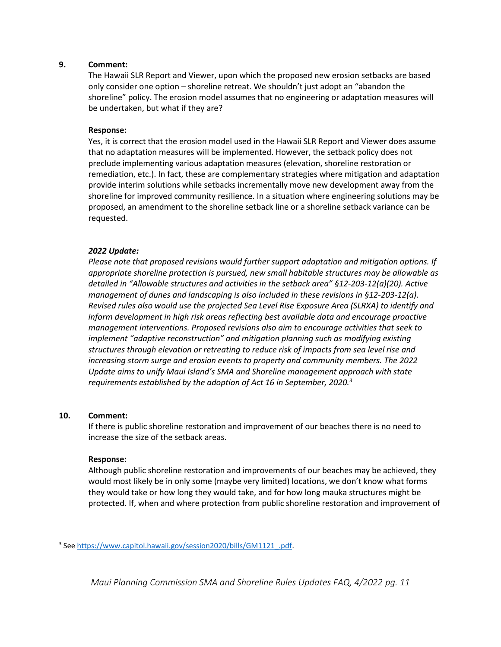The Hawaii SLR Report and Viewer, upon which the proposed new erosion setbacks are based only consider one option – shoreline retreat. We shouldn't just adopt an "abandon the shoreline" policy. The erosion model assumes that no engineering or adaptation measures will be undertaken, but what if they are?

## **Response:**

Yes, it is correct that the erosion model used in the Hawaii SLR Report and Viewer does assume that no adaptation measures will be implemented. However, the setback policy does not preclude implementing various adaptation measures (elevation, shoreline restoration or remediation, etc.). In fact, these are complementary strategies where mitigation and adaptation provide interim solutions while setbacks incrementally move new development away from the shoreline for improved community resilience. In a situation where engineering solutions may be proposed, an amendment to the shoreline setback line or a shoreline setback variance can be requested.

## *2022 Update:*

*Please note that proposed revisions would further support adaptation and mitigation options. If appropriate shoreline protection is pursued, new small habitable structures may be allowable as detailed in "Allowable structures and activities in the setback area" §12-203-12(a)(20). Active management of dunes and landscaping is also included in these revisions in §12-203-12(a). Revised rules also would use the projected Sea Level Rise Exposure Area (SLRXA) to identify and inform development in high risk areas reflecting best available data and encourage proactive management interventions. Proposed revisions also aim to encourage activities that seek to implement "adaptive reconstruction" and mitigation planning such as modifying existing structures through elevation or retreating to reduce risk of impacts from sea level rise and increasing storm surge and erosion events to property and community members. The 2022 Update aims to unify Maui Island's SMA and Shoreline management approach with state requirements established by the adoption of Act 16 in September, 2020.<sup>3</sup>*

## **10. Comment:**

 $\overline{\phantom{a}}$ 

If there is public shoreline restoration and improvement of our beaches there is no need to increase the size of the setback areas.

## **Response:**

Although public shoreline restoration and improvements of our beaches may be achieved, they would most likely be in only some (maybe very limited) locations, we don't know what forms they would take or how long they would take, and for how long mauka structures might be protected. If, when and where protection from public shoreline restoration and improvement of

<sup>&</sup>lt;sup>3</sup> See [https://www.capitol.hawaii.gov/session2020/bills/GM1121\\_.pdf.](https://www.capitol.hawaii.gov/session2020/bills/GM1121_.pdf)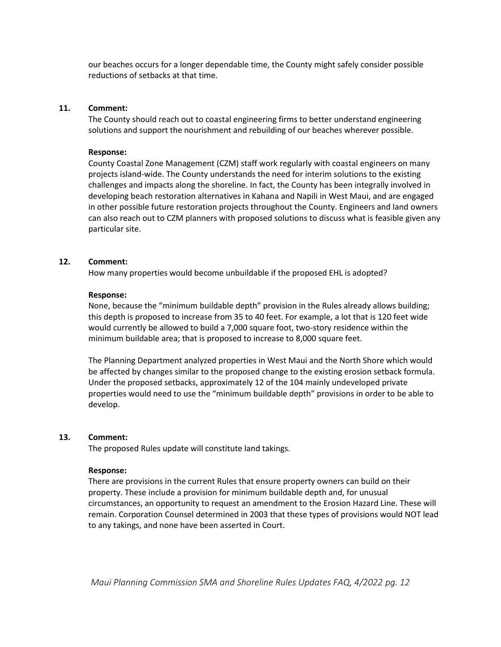our beaches occurs for a longer dependable time, the County might safely consider possible reductions of setbacks at that time.

### **11. Comment:**

The County should reach out to coastal engineering firms to better understand engineering solutions and support the nourishment and rebuilding of our beaches wherever possible.

#### **Response:**

County Coastal Zone Management (CZM) staff work regularly with coastal engineers on many projects island-wide. The County understands the need for interim solutions to the existing challenges and impacts along the shoreline. In fact, the County has been integrally involved in developing beach restoration alternatives in Kahana and Napili in West Maui, and are engaged in other possible future restoration projects throughout the County. Engineers and land owners can also reach out to CZM planners with proposed solutions to discuss what is feasible given any particular site.

## **12. Comment:**

How many properties would become unbuildable if the proposed EHL is adopted?

#### **Response:**

None, because the "minimum buildable depth" provision in the Rules already allows building; this depth is proposed to increase from 35 to 40 feet. For example, a lot that is 120 feet wide would currently be allowed to build a 7,000 square foot, two-story residence within the minimum buildable area; that is proposed to increase to 8,000 square feet.

The Planning Department analyzed properties in West Maui and the North Shore which would be affected by changes similar to the proposed change to the existing erosion setback formula. Under the proposed setbacks, approximately 12 of the 104 mainly undeveloped private properties would need to use the "minimum buildable depth" provisions in order to be able to develop.

#### **13. Comment:**

The proposed Rules update will constitute land takings.

#### **Response:**

There are provisions in the current Rules that ensure property owners can build on their property. These include a provision for minimum buildable depth and, for unusual circumstances, an opportunity to request an amendment to the Erosion Hazard Line. These will remain. Corporation Counsel determined in 2003 that these types of provisions would NOT lead to any takings, and none have been asserted in Court.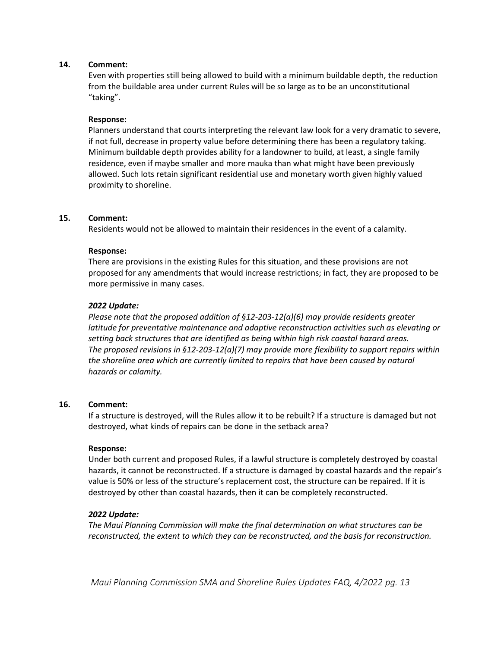Even with properties still being allowed to build with a minimum buildable depth, the reduction from the buildable area under current Rules will be so large as to be an unconstitutional "taking".

## **Response:**

Planners understand that courts interpreting the relevant law look for a very dramatic to severe, if not full, decrease in property value before determining there has been a regulatory taking. Minimum buildable depth provides ability for a landowner to build, at least, a single family residence, even if maybe smaller and more mauka than what might have been previously allowed. Such lots retain significant residential use and monetary worth given highly valued proximity to shoreline.

## **15. Comment:**

Residents would not be allowed to maintain their residences in the event of a calamity.

## **Response:**

There are provisions in the existing Rules for this situation, and these provisions are not proposed for any amendments that would increase restrictions; in fact, they are proposed to be more permissive in many cases.

## *2022 Update:*

*Please note that the proposed addition of §12-203-12(a)(6) may provide residents greater latitude for preventative maintenance and adaptive reconstruction activities such as elevating or setting back structures that are identified as being within high risk coastal hazard areas. The proposed revisions in §12-203-12(a)(7) may provide more flexibility to support repairs within the shoreline area which are currently limited to repairs that have been caused by natural hazards or calamity.* 

## **16. Comment:**

If a structure is destroyed, will the Rules allow it to be rebuilt? If a structure is damaged but not destroyed, what kinds of repairs can be done in the setback area?

## **Response:**

Under both current and proposed Rules, if a lawful structure is completely destroyed by coastal hazards, it cannot be reconstructed. If a structure is damaged by coastal hazards and the repair's value is 50% or less of the structure's replacement cost, the structure can be repaired. If it is destroyed by other than coastal hazards, then it can be completely reconstructed.

## *2022 Update:*

*The Maui Planning Commission will make the final determination on what structures can be reconstructed, the extent to which they can be reconstructed, and the basis for reconstruction.*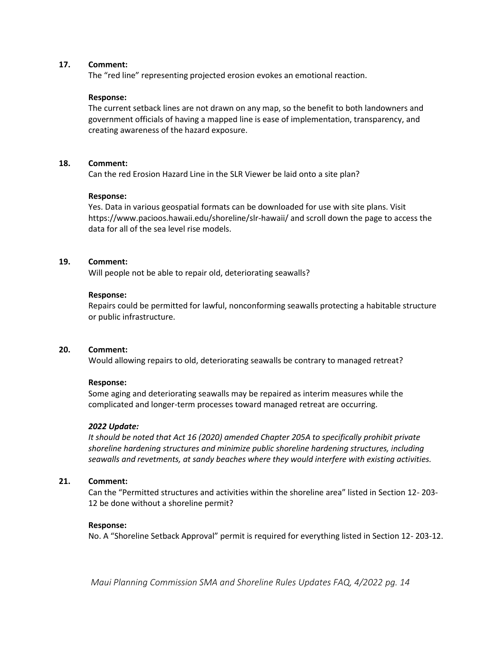The "red line" representing projected erosion evokes an emotional reaction.

## **Response:**

The current setback lines are not drawn on any map, so the benefit to both landowners and government officials of having a mapped line is ease of implementation, transparency, and creating awareness of the hazard exposure.

## **18. Comment:**

Can the red Erosion Hazard Line in the SLR Viewer be laid onto a site plan?

## **Response:**

Yes. Data in various geospatial formats can be downloaded for use with site plans. Visit https://www.pacioos.hawaii.edu/shoreline/slr-hawaii/ and scroll down the page to access the data for all of the sea level rise models.

## **19. Comment:**

Will people not be able to repair old, deteriorating seawalls?

## **Response:**

Repairs could be permitted for lawful, nonconforming seawalls protecting a habitable structure or public infrastructure.

## **20. Comment:**

Would allowing repairs to old, deteriorating seawalls be contrary to managed retreat?

## **Response:**

Some aging and deteriorating seawalls may be repaired as interim measures while the complicated and longer-term processes toward managed retreat are occurring.

## *2022 Update:*

*It should be noted that Act 16 (2020) amended Chapter 205A to specifically prohibit private shoreline hardening structures and minimize public shoreline hardening structures, including seawalls and revetments, at sandy beaches where they would interfere with existing activities.* 

## **21. Comment:**

Can the "Permitted structures and activities within the shoreline area" listed in Section 12- 203- 12 be done without a shoreline permit?

## **Response:**

No. A "Shoreline Setback Approval" permit is required for everything listed in Section 12- 203-12.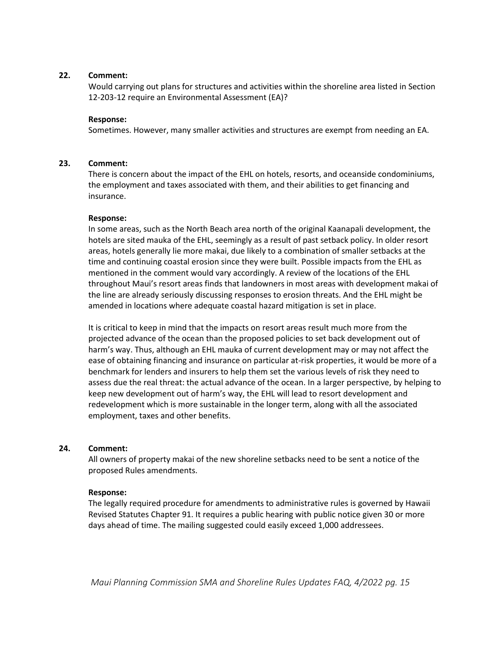Would carrying out plans for structures and activities within the shoreline area listed in Section 12-203-12 require an Environmental Assessment (EA)?

## **Response:**

Sometimes. However, many smaller activities and structures are exempt from needing an EA.

## **23. Comment:**

There is concern about the impact of the EHL on hotels, resorts, and oceanside condominiums, the employment and taxes associated with them, and their abilities to get financing and insurance.

## **Response:**

In some areas, such as the North Beach area north of the original Kaanapali development, the hotels are sited mauka of the EHL, seemingly as a result of past setback policy. In older resort areas, hotels generally lie more makai, due likely to a combination of smaller setbacks at the time and continuing coastal erosion since they were built. Possible impacts from the EHL as mentioned in the comment would vary accordingly. A review of the locations of the EHL throughout Maui's resort areas finds that landowners in most areas with development makai of the line are already seriously discussing responses to erosion threats. And the EHL might be amended in locations where adequate coastal hazard mitigation is set in place.

It is critical to keep in mind that the impacts on resort areas result much more from the projected advance of the ocean than the proposed policies to set back development out of harm's way. Thus, although an EHL mauka of current development may or may not affect the ease of obtaining financing and insurance on particular at-risk properties, it would be more of a benchmark for lenders and insurers to help them set the various levels of risk they need to assess due the real threat: the actual advance of the ocean. In a larger perspective, by helping to keep new development out of harm's way, the EHL will lead to resort development and redevelopment which is more sustainable in the longer term, along with all the associated employment, taxes and other benefits.

## **24. Comment:**

All owners of property makai of the new shoreline setbacks need to be sent a notice of the proposed Rules amendments.

## **Response:**

The legally required procedure for amendments to administrative rules is governed by Hawaii Revised Statutes Chapter 91. It requires a public hearing with public notice given 30 or more days ahead of time. The mailing suggested could easily exceed 1,000 addressees.